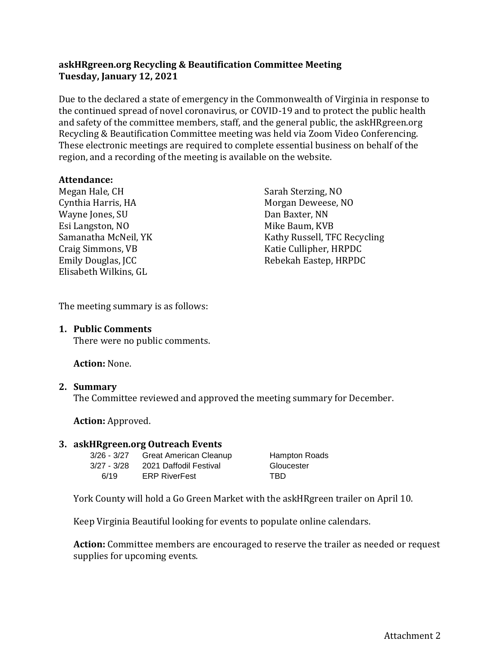## **askHRgreen.org Recycling & Beautification Committee Meeting Tuesday, January 12, 2021**

Due to the declared a state of emergency in the Commonwealth of Virginia in response to the continued spread of novel coronavirus, or COVID-19 and to protect the public health and safety of the committee members, staff, and the general public, the askHRgreen.org Recycling & Beautification Committee meeting was held via Zoom Video Conferencing. These electronic meetings are required to complete essential business on behalf of the region, and a recording of the meeting is available on the website.

### **Attendance:**

Megan Hale, CH Cynthia Harris, HA Wayne Jones, SU Esi Langston, NO Samanatha McNeil, YK Craig Simmons, VB Emily Douglas, JCC Elisabeth Wilkins, GL

Sarah Sterzing, NO Morgan Deweese, NO Dan Baxter, NN Mike Baum, KVB Kathy Russell, TFC Recycling Katie Cullipher, HRPDC Rebekah Eastep, HRPDC

The meeting summary is as follows:

### **1. Public Comments**

There were no public comments.

**Action:** None.

### **2. Summary**

The Committee reviewed and approved the meeting summary for December.

**Action:** Approved.

#### **3. askHRgreen.org Outreach Events**

| 3/26 - 3/27 | <b>Great American Cleanup</b>      | Ham  |
|-------------|------------------------------------|------|
|             | 3/27 - 3/28 2021 Daffodil Festival | Glou |
| 6/19        | <b>ERP RiverFest</b>               | TBD  |

Hampton Roads Gloucester

York County will hold a Go Green Market with the askHRgreen trailer on April 10.

Keep Virginia Beautiful looking for events to populate online calendars.

**Action:** Committee members are encouraged to reserve the trailer as needed or request supplies for upcoming events.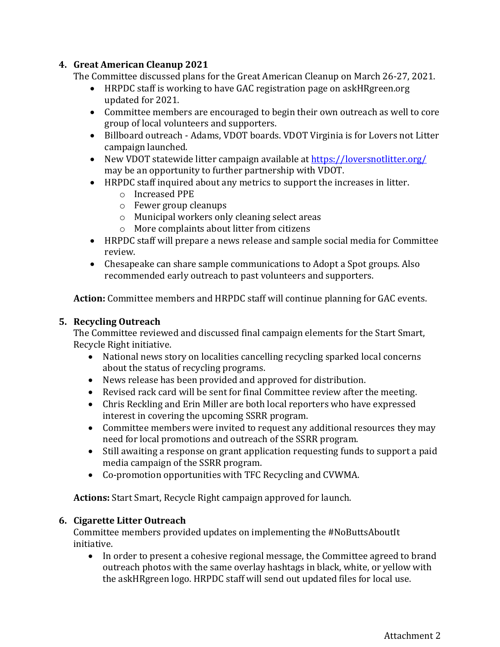## **4. Great American Cleanup 2021**

The Committee discussed plans for the Great American Cleanup on March 26-27, 2021.

- HRPDC staff is working to have GAC registration page on askHRgreen.org updated for 2021.
- Committee members are encouraged to begin their own outreach as well to core group of local volunteers and supporters.
- Billboard outreach Adams, VDOT boards. VDOT Virginia is for Lovers not Litter campaign launched.
- New VDOT statewide litter campaign available at<https://loversnotlitter.org/> may be an opportunity to further partnership with VDOT.
- HRPDC staff inquired about any metrics to support the increases in litter.
	- o Increased PPE
	- o Fewer group cleanups
	- o Municipal workers only cleaning select areas
	- o More complaints about litter from citizens
- HRPDC staff will prepare a news release and sample social media for Committee review.
- Chesapeake can share sample communications to Adopt a Spot groups. Also recommended early outreach to past volunteers and supporters.

**Action:** Committee members and HRPDC staff will continue planning for GAC events.

## **5. Recycling Outreach**

The Committee reviewed and discussed final campaign elements for the Start Smart, Recycle Right initiative.

- National news story on localities cancelling recycling sparked local concerns about the status of recycling programs.
- News release has been provided and approved for distribution.
- Revised rack card will be sent for final Committee review after the meeting.
- Chris Reckling and Erin Miller are both local reporters who have expressed interest in covering the upcoming SSRR program.
- Committee members were invited to request any additional resources they may need for local promotions and outreach of the SSRR program.
- Still awaiting a response on grant application requesting funds to support a paid media campaign of the SSRR program.
- Co-promotion opportunities with TFC Recycling and CVWMA.

**Actions:** Start Smart, Recycle Right campaign approved for launch.

# **6. Cigarette Litter Outreach**

Committee members provided updates on implementing the #NoButtsAboutIt initiative.

• In order to present a cohesive regional message, the Committee agreed to brand outreach photos with the same overlay hashtags in black, white, or yellow with the askHRgreen logo. HRPDC staff will send out updated files for local use.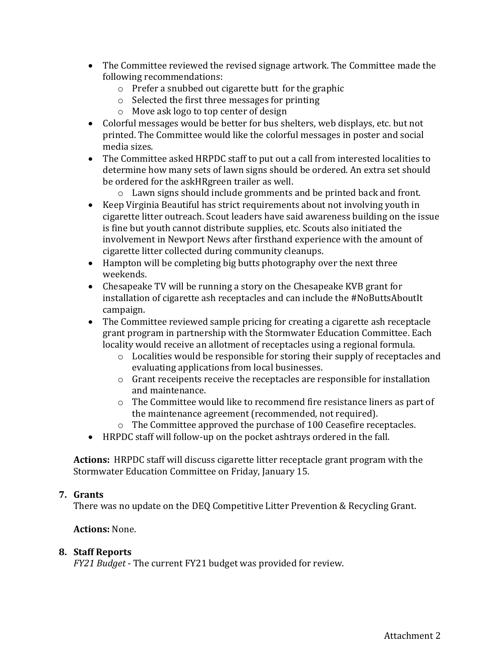- The Committee reviewed the revised signage artwork. The Committee made the following recommendations:
	- o Prefer a snubbed out cigarette butt for the graphic
	- o Selected the first three messages for printing
	- o Move ask logo to top center of design
- Colorful messages would be better for bus shelters, web displays, etc. but not printed. The Committee would like the colorful messages in poster and social media sizes.
- The Committee asked HRPDC staff to put out a call from interested localities to determine how many sets of lawn signs should be ordered. An extra set should be ordered for the askHRgreen trailer as well.
	- o Lawn signs should include gromments and be printed back and front.
- Keep Virginia Beautiful has strict requirements about not involving youth in cigarette litter outreach. Scout leaders have said awareness building on the issue is fine but youth cannot distribute supplies, etc. Scouts also initiated the involvement in Newport News after firsthand experience with the amount of cigarette litter collected during community cleanups.
- Hampton will be completing big butts photography over the next three weekends.
- Chesapeake TV will be running a story on the Chesapeake KVB grant for installation of cigarette ash receptacles and can include the #NoButtsAboutIt campaign.
- The Committee reviewed sample pricing for creating a cigarette ash receptacle grant program in partnership with the Stormwater Education Committee. Each locality would receive an allotment of receptacles using a regional formula.
	- o Localities would be responsible for storing their supply of receptacles and evaluating applications from local businesses.
	- o Grant receipents receive the receptacles are responsible for installation and maintenance.
	- $\circ$  The Committee would like to recommend fire resistance liners as part of the maintenance agreement (recommended, not required).
	- o The Committee approved the purchase of 100 Ceasefire receptacles.
- HRPDC staff will follow-up on the pocket ashtrays ordered in the fall.

**Actions:** HRPDC staff will discuss cigarette litter receptacle grant program with the Stormwater Education Committee on Friday, January 15.

### **7. Grants**

There was no update on the DEQ Competitive Litter Prevention & Recycling Grant.

### **Actions:** None.

### **8. Staff Reports**

*FY21 Budget* - The current FY21 budget was provided for review.